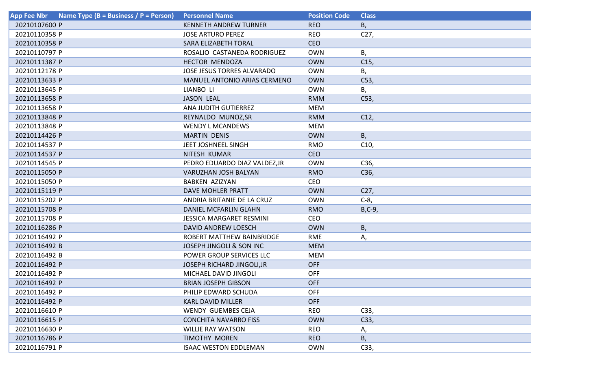| Name Type (B = Business / P = Person)<br><b>App Fee Nbr</b> | <b>Personnel Name</b>               | <b>Position Code</b> | <b>Class</b>    |
|-------------------------------------------------------------|-------------------------------------|----------------------|-----------------|
| 20210107600 P                                               | <b>KENNETH ANDREW TURNER</b>        | <b>REO</b>           | В,              |
| 20210110358 P                                               | <b>JOSE ARTURO PEREZ</b>            | <b>REO</b>           | C <sub>27</sub> |
| 20210110358 P                                               | SARA ELIZABETH TORAL                | <b>CEO</b>           |                 |
| 20210110797 P                                               | ROSALIO CASTANEDA RODRIGUEZ         | <b>OWN</b>           | В,              |
| 20210111387 P                                               | HECTOR MENDOZA                      | <b>OWN</b>           | C15,            |
| 20210112178 P                                               | JOSE JESUS TORRES ALVARADO          | <b>OWN</b>           | В,              |
| 20210113633 P                                               | <b>MANUEL ANTONIO ARIAS CERMENO</b> | <b>OWN</b>           | C53,            |
| 20210113645 P                                               | LIANBO LI                           | <b>OWN</b>           | В,              |
| 20210113658 P                                               | <b>JASON LEAL</b>                   | <b>RMM</b>           | C53,            |
| 20210113658 P                                               | ANA JUDITH GUTIERREZ                | <b>MEM</b>           |                 |
| 20210113848 P                                               | REYNALDO MUNOZ, SR                  | <b>RMM</b>           | C12,            |
| 20210113848 P                                               | <b>WENDY L MCANDEWS</b>             | <b>MEM</b>           |                 |
| 20210114426 P                                               | <b>MARTIN DENIS</b>                 | <b>OWN</b>           | В,              |
| 20210114537 P                                               | JEET JOSHNEEL SINGH                 | <b>RMO</b>           | C10,            |
| 20210114537 P                                               | NITESH KUMAR                        | <b>CEO</b>           |                 |
| 20210114545 P                                               | PEDRO EDUARDO DIAZ VALDEZ, JR       | <b>OWN</b>           | C36,            |
| 20210115050 P                                               | VARUZHAN JOSH BALYAN                | <b>RMO</b>           | C36,            |
| 20210115050 P                                               | <b>BABKEN AZIZYAN</b>               | <b>CEO</b>           |                 |
| 20210115119 P                                               | DAVE MOHLER PRATT                   | <b>OWN</b>           | C27,            |
| 20210115202 P                                               | ANDRIA BRITANIE DE LA CRUZ          | <b>OWN</b>           | $C-8$           |
| 20210115708 P                                               | <b>DANIEL MCFARLIN GLAHN</b>        | <b>RMO</b>           | $B, C-9,$       |
| 20210115708 P                                               | <b>JESSICA MARGARET RESMINI</b>     | <b>CEO</b>           |                 |
| 20210116286 P                                               | DAVID ANDREW LOESCH                 | <b>OWN</b>           | В,              |
| 20210116492 P                                               | ROBERT MATTHEW BAINBRIDGE           | <b>RME</b>           | А,              |
| 20210116492 B                                               | <b>JOSEPH JINGOLI &amp; SON INC</b> | <b>MEM</b>           |                 |
| 20210116492 B                                               | POWER GROUP SERVICES LLC            | <b>MEM</b>           |                 |
| 20210116492 P                                               | <b>JOSEPH RICHARD JINGOLI, JR</b>   | <b>OFF</b>           |                 |
| 20210116492 P                                               | MICHAEL DAVID JINGOLI               | <b>OFF</b>           |                 |
| 20210116492 P                                               | <b>BRIAN JOSEPH GIBSON</b>          | <b>OFF</b>           |                 |
| 20210116492 P                                               | PHILIP EDWARD SCHUDA                | <b>OFF</b>           |                 |
| 20210116492 P                                               | <b>KARL DAVID MILLER</b>            | <b>OFF</b>           |                 |
| 20210116610 P                                               | <b>WENDY GUEMBES CEJA</b>           | <b>REO</b>           | C33,            |
| 20210116615 P                                               | <b>CONCHITA NAVARRO FISS</b>        | <b>OWN</b>           | C33,            |
| 20210116630 P                                               | <b>WILLIE RAY WATSON</b>            | <b>REO</b>           | А,              |
| 20210116786 P                                               | <b>TIMOTHY MOREN</b>                | <b>REO</b>           | В,              |
| 20210116791 P                                               | <b>ISAAC WESTON EDDLEMAN</b>        | <b>OWN</b>           | C33,            |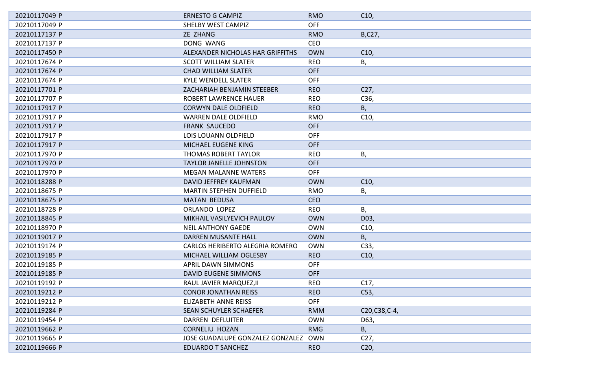| 20210117049 P | <b>ERNESTO G CAMPIZ</b>                | <b>RMO</b> | C10,            |
|---------------|----------------------------------------|------------|-----------------|
| 20210117049 P | <b>SHELBY WEST CAMPIZ</b>              | <b>OFF</b> |                 |
| 20210117137 P | ZE ZHANG                               | <b>RMO</b> | B,C27,          |
| 20210117137 P | DONG WANG                              | CEO        |                 |
| 20210117450 P | ALEXANDER NICHOLAS HAR GRIFFITHS       | <b>OWN</b> | C10,            |
| 20210117674 P | <b>SCOTT WILLIAM SLATER</b>            | <b>REO</b> | В,              |
| 20210117674 P | <b>CHAD WILLIAM SLATER</b>             | <b>OFF</b> |                 |
| 20210117674 P | <b>KYLE WENDELL SLATER</b>             | <b>OFF</b> |                 |
| 20210117701 P | <b>ZACHARIAH BENJAMIN STEEBER</b>      | <b>REO</b> | C27,            |
| 20210117707 P | <b>ROBERT LAWRENCE HAUER</b>           | <b>REO</b> | C36,            |
| 20210117917 P | <b>CORWYN DALE OLDFIELD</b>            | <b>REO</b> | Β,              |
| 20210117917 P | <b>WARREN DALE OLDFIELD</b>            | <b>RMO</b> | C10,            |
| 20210117917 P | <b>FRANK SAUCEDO</b>                   | <b>OFF</b> |                 |
| 20210117917 P | LOIS LOUANN OLDFIELD                   | <b>OFF</b> |                 |
| 20210117917 P | <b>MICHAEL EUGENE KING</b>             | <b>OFF</b> |                 |
| 20210117970 P | THOMAS ROBERT TAYLOR                   | <b>REO</b> | Β,              |
| 20210117970 P | <b>TAYLOR JANELLE JOHNSTON</b>         | <b>OFF</b> |                 |
| 20210117970 P | <b>MEGAN MALANNE WATERS</b>            | <b>OFF</b> |                 |
| 20210118288 P | DAVID JEFFREY KAUFMAN                  | <b>OWN</b> | C10,            |
| 20210118675 P | <b>MARTIN STEPHEN DUFFIELD</b>         | <b>RMO</b> | Β,              |
| 20210118675 P | <b>MATAN BEDUSA</b>                    | <b>CEO</b> |                 |
| 20210118728 P | ORLANDO LOPEZ                          | <b>REO</b> | Β,              |
| 20210118845 P | MIKHAIL VASILYEVICH PAULOV             | <b>OWN</b> | D03,            |
| 20210118970 P | <b>NEIL ANTHONY GAEDE</b>              | <b>OWN</b> | C10,            |
| 20210119017 P | <b>DARREN MUSANTE HALL</b>             | <b>OWN</b> | В,              |
| 20210119174 P | <b>CARLOS HERIBERTO ALEGRIA ROMERO</b> | <b>OWN</b> | C33,            |
| 20210119185 P | MICHAEL WILLIAM OGLESBY                | <b>REO</b> | C10,            |
| 20210119185 P | <b>APRIL DAWN SIMMONS</b>              | <b>OFF</b> |                 |
| 20210119185 P | <b>DAVID EUGENE SIMMONS</b>            | <b>OFF</b> |                 |
| 20210119192 P | RAUL JAVIER MARQUEZ, II                | <b>REO</b> | C <sub>17</sub> |
| 20210119212 P | <b>CONOR JONATHAN REISS</b>            | <b>REO</b> | C53,            |
| 20210119212 P | ELIZABETH ANNE REISS                   | <b>OFF</b> |                 |
| 20210119284 P | <b>SEAN SCHUYLER SCHAEFER</b>          | <b>RMM</b> | C20, C38, C-4,  |
| 20210119454 P | <b>DARREN DEFLUITER</b>                | <b>OWN</b> | D63,            |
| 20210119662 P | <b>CORNELIU HOZAN</b>                  | <b>RMG</b> | Β,              |
| 20210119665 P | JOSE GUADALUPE GONZALEZ GONZALEZ       | <b>OWN</b> | C <sub>27</sub> |
| 20210119666 P | <b>EDUARDO T SANCHEZ</b>               | <b>REO</b> | C <sub>20</sub> |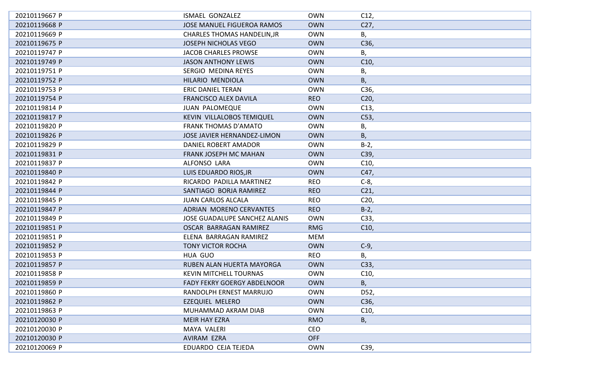| 20210119667 P | <b>ISMAEL GONZALEZ</b>               | <b>OWN</b> | C12,            |
|---------------|--------------------------------------|------------|-----------------|
| 20210119668 P | <b>JOSE MANUEL FIGUEROA RAMOS</b>    | <b>OWN</b> | C27,            |
| 20210119669 P | <b>CHARLES THOMAS HANDELIN, JR</b>   | <b>OWN</b> | В,              |
| 20210119675 P | <b>JOSEPH NICHOLAS VEGO</b>          | <b>OWN</b> | C36,            |
| 20210119747 P | <b>JACOB CHARLES PROWSE</b>          | <b>OWN</b> | В,              |
| 20210119749 P | <b>JASON ANTHONY LEWIS</b>           | <b>OWN</b> | C10,            |
| 20210119751 P | SERGIO MEDINA REYES                  | <b>OWN</b> | Β,              |
| 20210119752 P | HILARIO MENDIOLA                     | <b>OWN</b> | В,              |
| 20210119753 P | ERIC DANIEL TERAN                    | <b>OWN</b> | C36,            |
| 20210119754 P | <b>FRANCISCO ALEX DAVILA</b>         | <b>REO</b> | C <sub>20</sub> |
| 20210119814 P | <b>JUAN PALOMEQUE</b>                | <b>OWN</b> | C13,            |
| 20210119817 P | KEVIN VILLALOBOS TEMIQUEL            | <b>OWN</b> | C53,            |
| 20210119820 P | <b>FRANK THOMAS D'AMATO</b>          | <b>OWN</b> | Β,              |
| 20210119826 P | JOSE JAVIER HERNANDEZ-LIMON          | <b>OWN</b> | Β,              |
| 20210119829 P | DANIEL ROBERT AMADOR                 | <b>OWN</b> | $B-2,$          |
| 20210119831 P | <b>FRANK JOSEPH MC MAHAN</b>         | <b>OWN</b> | C39,            |
| 20210119837 P | ALFONSO LARA                         | <b>OWN</b> | C10,            |
| 20210119840 P | LUIS EDUARDO RIOS, JR                | <b>OWN</b> | C47,            |
| 20210119842 P | RICARDO PADILLA MARTINEZ             | <b>REO</b> | $C-8$           |
| 20210119844 P | SANTIAGO BORJA RAMIREZ               | <b>REO</b> | C <sub>21</sub> |
| 20210119845 P | <b>JUAN CARLOS ALCALA</b>            | <b>REO</b> | C20             |
| 20210119847 P | ADRIAN MORENO CERVANTES              | <b>REO</b> | $B-2$ ,         |
| 20210119849 P | <b>JOSE GUADALUPE SANCHEZ ALANIS</b> | <b>OWN</b> | C33,            |
| 20210119851 P | OSCAR BARRAGAN RAMIREZ               | <b>RMG</b> | C10,            |
| 20210119851 P | ELENA BARRAGAN RAMIREZ               | MEM        |                 |
| 20210119852 P | <b>TONY VICTOR ROCHA</b>             | <b>OWN</b> | $C-9$ ,         |
| 20210119853 P | HUA GUO                              | <b>REO</b> | Β,              |
| 20210119857 P | RUBEN ALAN HUERTA MAYORGA            | <b>OWN</b> | C33,            |
| 20210119858 P | <b>KEVIN MITCHELL TOURNAS</b>        | <b>OWN</b> | C10,            |
| 20210119859 P | FADY FEKRY GOERGY ABDELNOOR          | <b>OWN</b> | В,              |
| 20210119860 P | RANDOLPH ERNEST MARRUJO              | <b>OWN</b> | D52,            |
| 20210119862 P | <b>EZEQUIEL MELERO</b>               | <b>OWN</b> | C36,            |
| 20210119863 P | MUHAMMAD AKRAM DIAB                  | <b>OWN</b> | C10,            |
| 20210120030 P | <b>MEIR HAY EZRA</b>                 | <b>RMO</b> | В,              |
| 20210120030 P | <b>MAYA VALERI</b>                   | CEO        |                 |
| 20210120030 P | AVIRAM EZRA                          | <b>OFF</b> |                 |
| 20210120069 P | EDUARDO CEJA TEJEDA                  | <b>OWN</b> | C39,            |